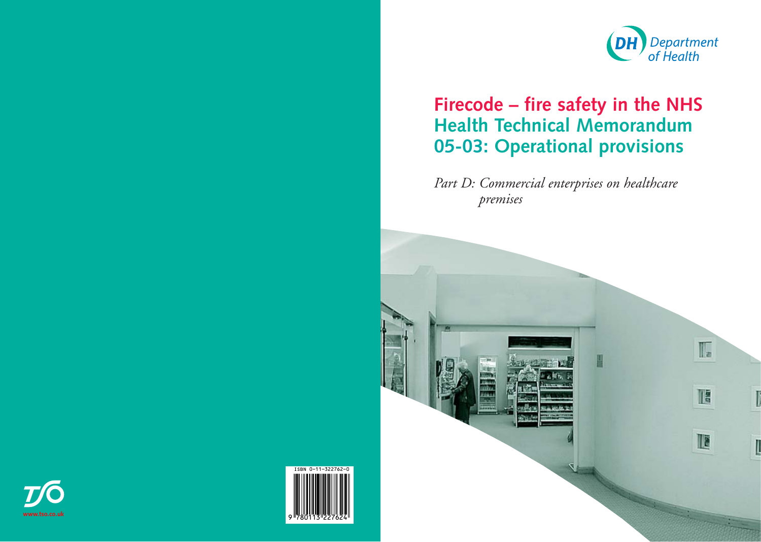# **Firecode – fire safety in the NHS Health Technical Memorandum 05-03: Operational provisions**

*Part D: Commercial enterprises on healthcare premises*







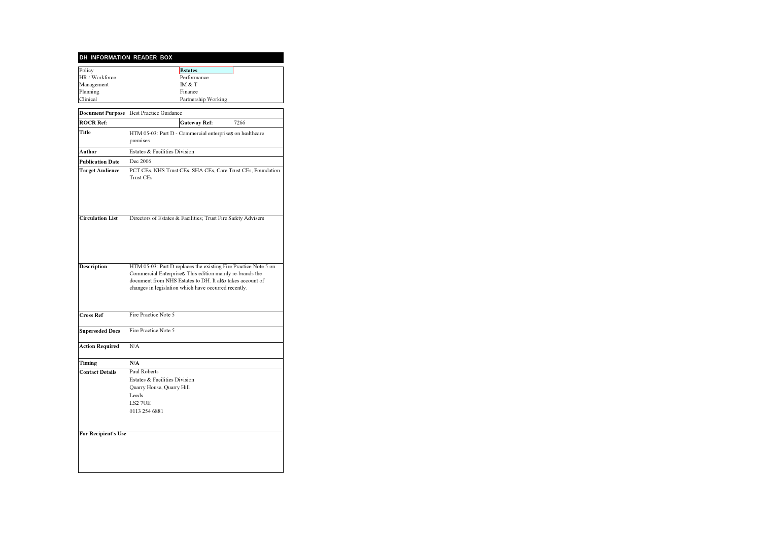#### **DH INFORMATION READER BOX**

| Policy          | <b>Estates</b>      |
|-----------------|---------------------|
| HR / Workforce  | Performance         |
| Management      | IM & T              |
| Planning        | Finance             |
| <b>Clinical</b> | Partnership Working |

|                                                      | Document Purpose Best Practice Guidance                                                                                                                                                                                                           |  |  |
|------------------------------------------------------|---------------------------------------------------------------------------------------------------------------------------------------------------------------------------------------------------------------------------------------------------|--|--|
| <b>ROCR Ref:</b>                                     | <b>Gateway Ref:</b><br>7266                                                                                                                                                                                                                       |  |  |
| Title                                                | HTM 05-03: Part D - Commercial enterprises on healthcare<br>premises                                                                                                                                                                              |  |  |
| Author                                               | Estates & Facilities Division                                                                                                                                                                                                                     |  |  |
| <b>Publication Date</b>                              | Dec 2006                                                                                                                                                                                                                                          |  |  |
| <b>Target Audience</b>                               | PCT CEs, NHS Trust CEs, SHA CEs, Care Trust CEs, Foundation<br>Trust CEs                                                                                                                                                                          |  |  |
| <b>Circulation List</b>                              | Directors of Estates & Facilities; Trust Fire Safety Advisers                                                                                                                                                                                     |  |  |
| <b>Description</b>                                   | HTM 05-03: Part D replaces the existing Fire Practice Note 5 on<br>Commercial Enterprises. This edition mainly re-brands the<br>document from NHS Estates to DH. It also takes account of<br>changes in legislation which have occurred recently. |  |  |
| <b>Cross Ref</b>                                     | Fire Practice Note 5                                                                                                                                                                                                                              |  |  |
| <b>Superseded Docs</b>                               | Fire Practice Note 5                                                                                                                                                                                                                              |  |  |
| <b>Action Required</b>                               | N/A                                                                                                                                                                                                                                               |  |  |
| Timing                                               | N/A                                                                                                                                                                                                                                               |  |  |
| <b>Contact Details</b><br><b>For Recipient's Use</b> | Paul Roberts<br>Estates & Facilities Division<br>Quarry House, Quarry Hill<br>Leeds<br>LS2 7UE<br>0113 254 6881                                                                                                                                   |  |  |
|                                                      |                                                                                                                                                                                                                                                   |  |  |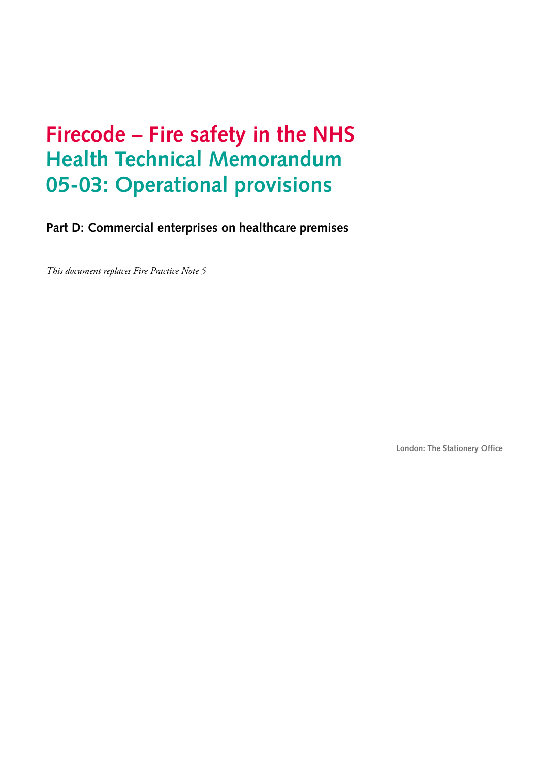# **Firecode – Fire safety in the NHS Health Technical Memorandum 05-03: Operational provisions**

**Part D: Commercial enterprises on healthcare premises**

*This document replaces Fire Practice Note 5*

**London: The Stationery Office**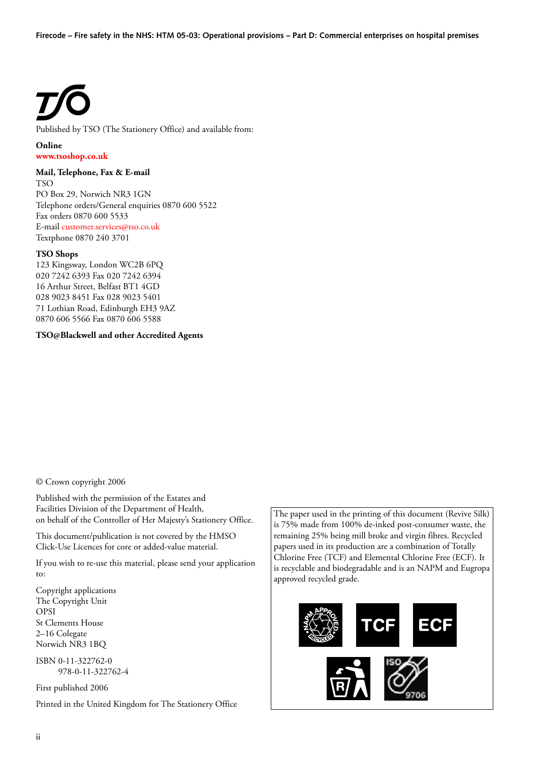Published by TSO (The Stationery Office) and available from:

#### **Online [www.tsoshop.co.uk](http://www.tsoshop.co.uk)**

#### **Mail, Telephone, Fax & E-mail**

TSO PO Box 29, Norwich NR3 1GN Telephone orders/General enquiries 0870 600 5522 Fax orders 0870 600 5533 E-mai[l customer.services@tso.co.uk](mailto:customer.services@tso.co.uk) Textphone 0870 240 3701

#### **TSO Shops**

123 Kingsway, London WC2B 6PQ 020 7242 6393 Fax 020 7242 6394 16 Arthur Street, Belfast BT1 4GD 028 9023 8451 Fax 028 9023 5401 71 Lothian Road, Edinburgh EH3 9AZ 0870 606 5566 Fax 0870 606 5588

#### **TSO@Blackwell and other Accredited Agents**

© Crown copyright 2006

Published with the permission of the Estates and Facilities Division of the Department of Health, on behalf of the Controller of Her Majesty's Stationery Office.

This document/publication is not covered by the HMSO Click-Use Licences for core or added-value material.

If you wish to re-use this material, please send your application to:

Copyright applications The Copyright Unit OPSI St Clements House 2–16 Colegate Norwich NR3 1BQ

ISBN 0-11-322762-0 978-0-11-322762-4

First published 2006 Printed in the United Kingdom for The Stationery Office The paper used in the printing of this document (Revive Silk) is 75% made from 100% de-inked post-consumer waste, the remaining 25% being mill broke and virgin fibres. Recycled papers used in its production are a combination of Totally Chlorine Free (TCF) and Elemental Chlorine Free (ECF). It is recyclable and biodegradable and is an NAPM and Eugropa approved recycled grade.

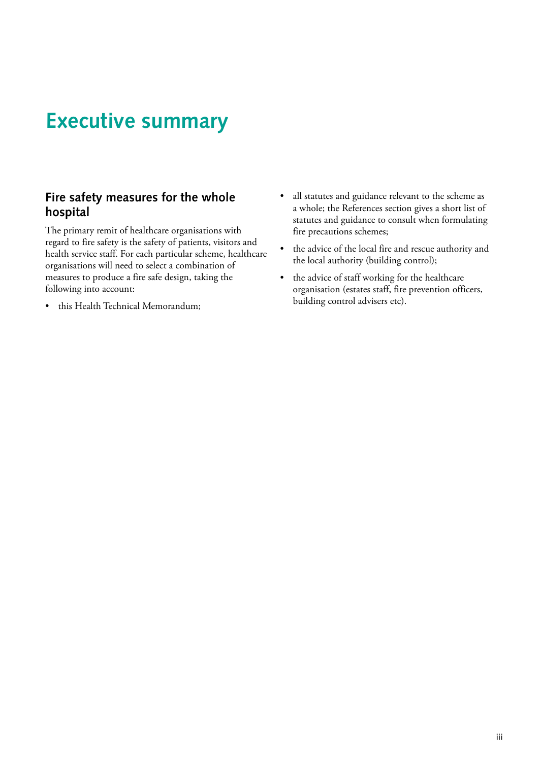## <span id="page-4-0"></span>**Executive summary**

## **Fire safety measures for the whole hospital**

The primary remit of healthcare organisations with regard to fire safety is the safety of patients, visitors and health service staff. For each particular scheme, healthcare organisations will need to select a combination of measures to produce a fire safe design, taking the following into account:

• this Health Technical Memorandum;

- all statutes and guidance relevant to the scheme as a whole; the References section gives a short list of statutes and guidance to consult when formulating fire precautions schemes; •
- the advice of the local fire and rescue authority and the local authority (building control); •
- the advice of staff working for the healthcare organisation (estates staff, fire prevention officers, building control advisers etc). •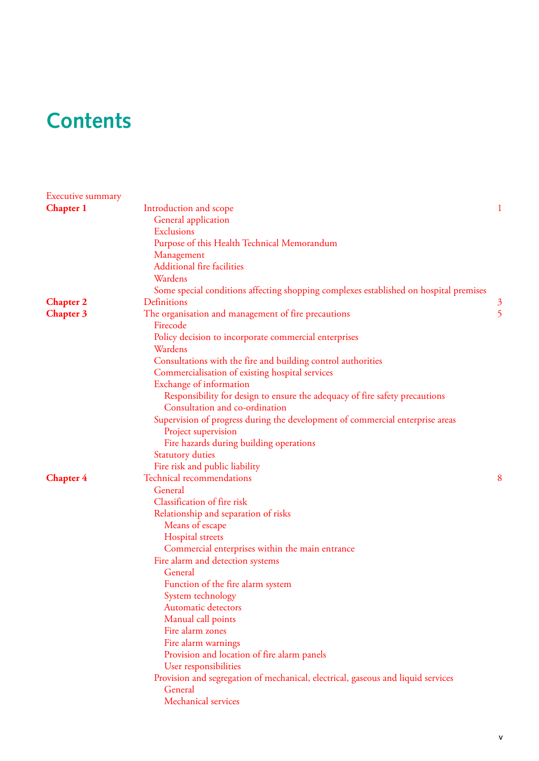# **Contents**

| Executive summary |                                                                                       |                |
|-------------------|---------------------------------------------------------------------------------------|----------------|
| <b>Chapter 1</b>  | Introduction and scope                                                                |                |
|                   | General application                                                                   |                |
|                   | Exclusions                                                                            |                |
|                   | Purpose of this Health Technical Memorandum                                           |                |
|                   | Management                                                                            |                |
|                   | <b>Additional fire facilities</b>                                                     |                |
|                   | Wardens                                                                               |                |
|                   | Some special conditions affecting shopping complexes established on hospital premises |                |
| <b>Chapter 2</b>  | Definitions                                                                           | $\mathfrak{Z}$ |
| <b>Chapter 3</b>  | The organisation and management of fire precautions                                   | 5              |
|                   | Firecode                                                                              |                |
|                   | Policy decision to incorporate commercial enterprises                                 |                |
|                   | Wardens                                                                               |                |
|                   | Consultations with the fire and building control authorities                          |                |
|                   | Commercialisation of existing hospital services                                       |                |
|                   | Exchange of information                                                               |                |
|                   | Responsibility for design to ensure the adequacy of fire safety precautions           |                |
|                   | Consultation and co-ordination                                                        |                |
|                   | Supervision of progress during the development of commercial enterprise areas         |                |
|                   | Project supervision                                                                   |                |
|                   | Fire hazards during building operations                                               |                |
|                   | <b>Statutory duties</b>                                                               |                |
|                   | Fire risk and public liability                                                        |                |
| <b>Chapter 4</b>  | Technical recommendations                                                             | 8              |
|                   | General                                                                               |                |
|                   | Classification of fire risk                                                           |                |
|                   | Relationship and separation of risks                                                  |                |
|                   | Means of escape                                                                       |                |
|                   | Hospital streets                                                                      |                |
|                   | Commercial enterprises within the main entrance                                       |                |
|                   | Fire alarm and detection systems                                                      |                |
|                   | General                                                                               |                |
|                   | Function of the fire alarm system                                                     |                |
|                   | System technology                                                                     |                |
|                   | <b>Automatic detectors</b>                                                            |                |
|                   | Manual call points                                                                    |                |
|                   | Fire alarm zones                                                                      |                |
|                   | Fire alarm warnings                                                                   |                |
|                   | Provision and location of fire alarm panels                                           |                |
|                   | User responsibilities                                                                 |                |
|                   | Provision and segregation of mechanical, electrical, gaseous and liquid services      |                |
|                   | General                                                                               |                |
|                   | Mechanical services                                                                   |                |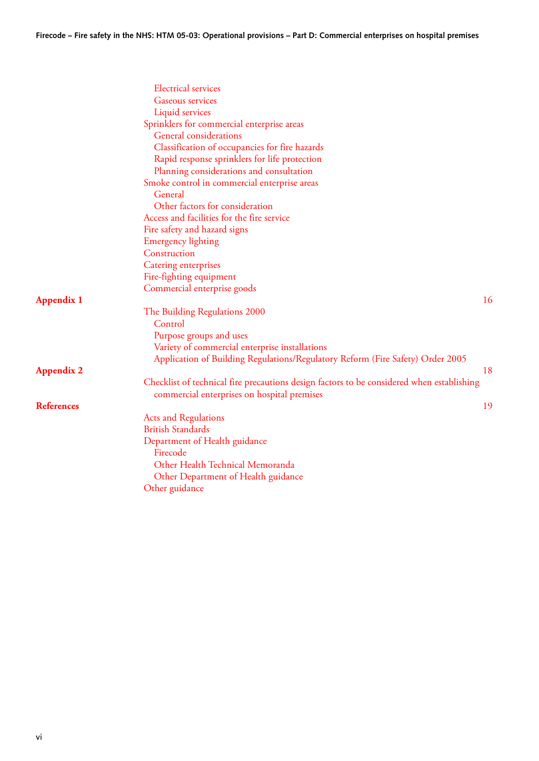|                   | <b>Electrical services</b>                                                                |    |
|-------------------|-------------------------------------------------------------------------------------------|----|
|                   | Gaseous services                                                                          |    |
|                   | Liquid services                                                                           |    |
|                   | Sprinklers for commercial enterprise areas                                                |    |
|                   | <b>General</b> considerations                                                             |    |
|                   | Classification of occupancies for fire hazards                                            |    |
|                   | Rapid response sprinklers for life protection                                             |    |
|                   | Planning considerations and consultation                                                  |    |
|                   | Smoke control in commercial enterprise areas                                              |    |
|                   | General                                                                                   |    |
|                   | Other factors for consideration                                                           |    |
|                   | Access and facilities for the fire service                                                |    |
|                   | Fire safety and hazard signs                                                              |    |
|                   | <b>Emergency lighting</b>                                                                 |    |
|                   | Construction                                                                              |    |
|                   | Catering enterprises                                                                      |    |
|                   | Fire-fighting equipment                                                                   |    |
|                   | Commercial enterprise goods                                                               |    |
| <b>Appendix 1</b> |                                                                                           | 16 |
|                   | The Building Regulations 2000                                                             |    |
|                   | Control                                                                                   |    |
|                   | Purpose groups and uses                                                                   |    |
|                   | Variety of commercial enterprise installations                                            |    |
|                   | Application of Building Regulations/Regulatory Reform (Fire Safety) Order 2005            |    |
| <b>Appendix 2</b> |                                                                                           | 18 |
|                   | Checklist of technical fire precautions design factors to be considered when establishing |    |
|                   | commercial enterprises on hospital premises                                               |    |
| <b>References</b> |                                                                                           | 19 |
|                   | <b>Acts and Regulations</b>                                                               |    |
|                   | <b>British Standards</b>                                                                  |    |
|                   | Department of Health guidance                                                             |    |
|                   | Firecode                                                                                  |    |
|                   | Other Health Technical Memoranda                                                          |    |
|                   | Other Department of Health guidance                                                       |    |
|                   | Other guidance                                                                            |    |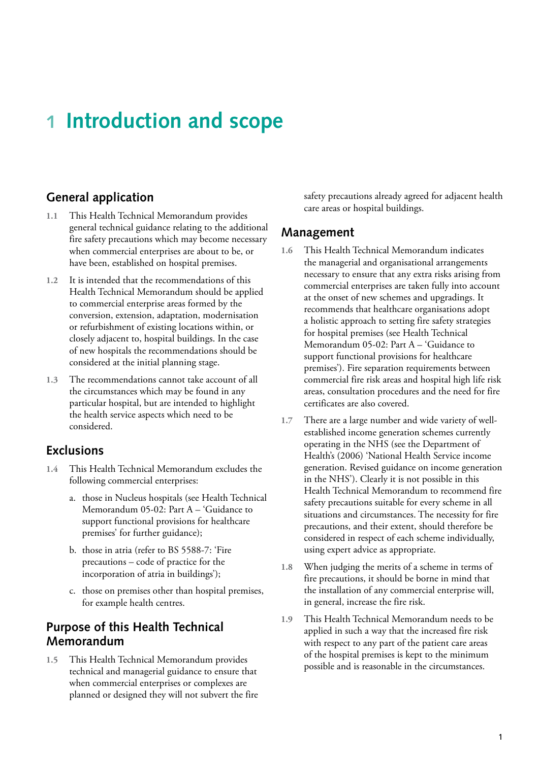## <span id="page-7-0"></span>**1 Introduction and scope**

## **General application**

- **1.1** This Health Technical Memorandum provides general technical guidance relating to the additional fire safety precautions which may become necessary when commercial enterprises are about to be, or have been, established on hospital premises.
- **1.2** It is intended that the recommendations of this Health Technical Memorandum should be applied to commercial enterprise areas formed by the conversion, extension, adaptation, modernisation or refurbishment of existing locations within, or closely adjacent to, hospital buildings. In the case of new hospitals the recommendations should be considered at the initial planning stage.
- **1.3** The recommendations cannot take account of all the circumstances which may be found in any particular hospital, but are intended to highlight the health service aspects which need to be considered.

### **Exclusions**

- **1.4** This Health Technical Memorandum excludes the following commercial enterprises:
	- a. those in Nucleus hospitals (see Health Technical Memorandum 05-02: Part A – 'Guidance to support functional provisions for healthcare premises' for further guidance);
	- b. those in atria (refer to BS 5588-7: 'Fire precautions – code of practice for the incorporation of atria in buildings');
	- c. those on premises other than hospital premises, for example health centres.

## **Purpose of this Health Technical Memorandum**

**1.5** This Health Technical Memorandum provides technical and managerial guidance to ensure that when commercial enterprises or complexes are planned or designed they will not subvert the fire safety precautions already agreed for adjacent health care areas or hospital buildings.

### **Management**

- **1.6** This Health Technical Memorandum indicates the managerial and organisational arrangements necessary to ensure that any extra risks arising from commercial enterprises are taken fully into account at the onset of new schemes and upgradings. It recommends that healthcare organisations adopt a holistic approach to setting fire safety strategies for hospital premises (see Health Technical Memorandum 05-02: Part A – 'Guidance to support functional provisions for healthcare premises'). Fire separation requirements between commercial fire risk areas and hospital high life risk areas, consultation procedures and the need for fire certificates are also covered.
- **1.7** There are a large number and wide variety of wellestablished income generation schemes currently operating in the NHS (see the Department of Health's (2006) 'National Health Service income generation. Revised guidance on income generation in the NHS'). Clearly it is not possible in this Health Technical Memorandum to recommend fire safety precautions suitable for every scheme in all situations and circumstances. The necessity for fire precautions, and their extent, should therefore be considered in respect of each scheme individually, using expert advice as appropriate.
- **1.8** When judging the merits of a scheme in terms of fire precautions, it should be borne in mind that the installation of any commercial enterprise will, in general, increase the fire risk.
- **1.9** This Health Technical Memorandum needs to be applied in such a way that the increased fire risk with respect to any part of the patient care areas of the hospital premises is kept to the minimum possible and is reasonable in the circumstances.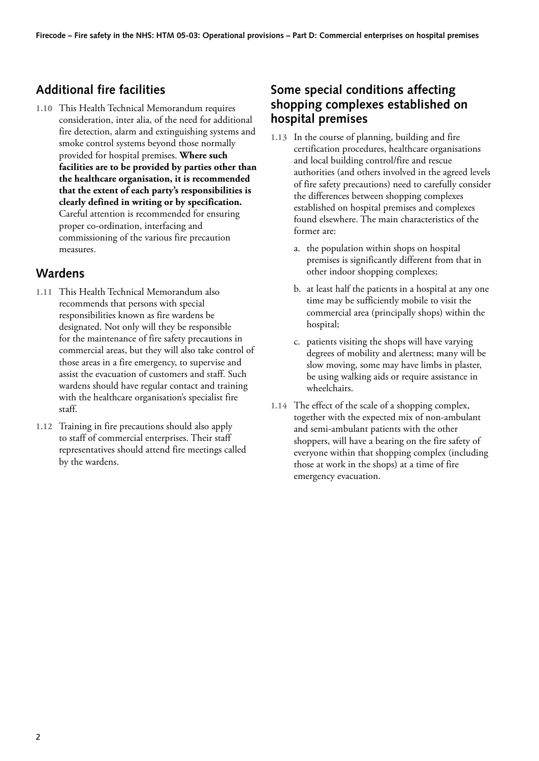## <span id="page-8-0"></span>**Additional fire facilities**

**1.10** This Health Technical Memorandum requires consideration, inter alia, of the need for additional fire detection, alarm and extinguishing systems and smoke control systems beyond those normally provided for hospital premises. **Where such facilities are to be provided by parties other than the healthcare organisation, it is recommended that the extent of each party's responsibilities is clearly defined in writing or by specification.** Careful attention is recommended for ensuring proper co-ordination, interfacing and commissioning of the various fire precaution measures.

## **Wardens**

- **1.11** This Health Technical Memorandum also recommends that persons with special responsibilities known as fire wardens be designated. Not only will they be responsible for the maintenance of fire safety precautions in commercial areas, but they will also take control of those areas in a fire emergency, to supervise and assist the evacuation of customers and staff. Such wardens should have regular contact and training with the healthcare organisation's specialist fire staff.
- **1.12** Training in fire precautions should also apply to staff of commercial enterprises. Their staff representatives should attend fire meetings called by the wardens.

## **Some special conditions affecting shopping complexes established on hospital premises**

- **1.13** In the course of planning, building and fire certification procedures, healthcare organisations and local building control/fire and rescue authorities (and others involved in the agreed levels of fire safety precautions) need to carefully consider the differences between shopping complexes established on hospital premises and complexes found elsewhere. The main characteristics of the former are:
	- a. the population within shops on hospital premises is significantly different from that in other indoor shopping complexes;
	- b. at least half the patients in a hospital at any one time may be sufficiently mobile to visit the commercial area (principally shops) within the hospital;
	- c. patients visiting the shops will have varying degrees of mobility and alertness; many will be slow moving, some may have limbs in plaster, be using walking aids or require assistance in wheelchairs.
- **1.14** The effect of the scale of a shopping complex, together with the expected mix of non-ambulant and semi-ambulant patients with the other shoppers, will have a bearing on the fire safety of everyone within that shopping complex (including those at work in the shops) at a time of fire emergency evacuation.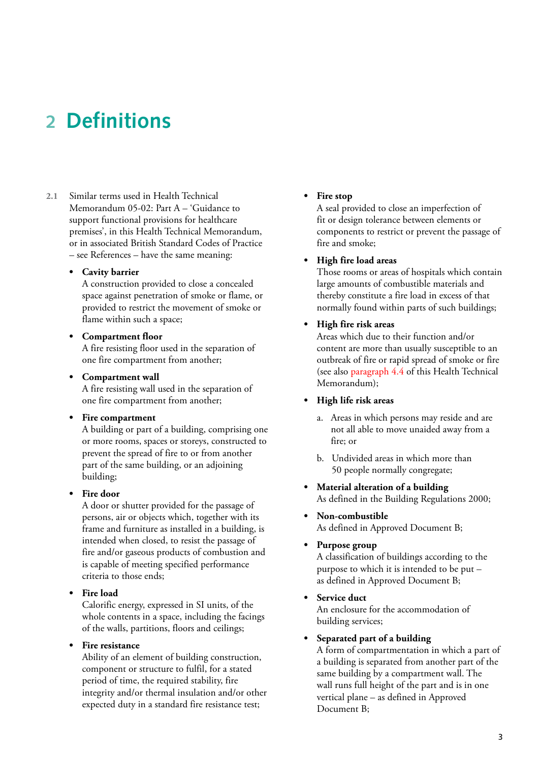## <span id="page-9-0"></span>**2 Definitions**

**2.1** Similar terms used in Health Technical Memorandum 05-02: Part A – 'Guidance to support functional provisions for healthcare premises', in this Health Technical Memorandum, or in associated British Standard Codes of Practice – see References – have the same meaning:

#### **Cavity barrier •**

A construction provided to close a concealed space against penetration of smoke or flame, or provided to restrict the movement of smoke or flame within such a space;

#### **Compartment floor •**

A fire resisting floor used in the separation of one fire compartment from another;

#### **Compartment wall •**

A fire resisting wall used in the separation of one fire compartment from another;

#### **Fire compartment •**

A building or part of a building, comprising one or more rooms, spaces or storeys, constructed to prevent the spread of fire to or from another part of the same building, or an adjoining building;

#### **Fire door •**

A door or shutter provided for the passage of persons, air or objects which, together with its frame and furniture as installed in a building, is intended when closed, to resist the passage of fire and/or gaseous products of combustion and is capable of meeting specified performance criteria to those ends;

#### **Fire load •**

Calorific energy, expressed in SI units, of the whole contents in a space, including the facings of the walls, partitions, floors and ceilings;

#### **Fire resistance •**

Ability of an element of building construction, component or structure to fulfil, for a stated period of time, the required stability, fire integrity and/or thermal insulation and/or other expected duty in a standard fire resistance test;

#### **Fire stop •**

A seal provided to close an imperfection of fit or design tolerance between elements or components to restrict or prevent the passage of fire and smoke;

#### **High fire load areas •**

Those rooms or areas of hospitals which contain large amounts of combustible materials and thereby constitute a fire load in excess of that normally found within parts of such buildings;

#### **High fire risk areas •**

Areas which due to their function and/or content are more than usually susceptible to an outbreak of fire or rapid spread of smoke or fire (see also [paragraph 4.4](#page-14-0) of this Health Technical Memorandum);

#### **High life risk areas •**

- a. Areas in which persons may reside and are not all able to move unaided away from a fire; or
- b. Undivided areas in which more than 50 people normally congregate;
- **Material alteration of a building •** As defined in the Building Regulations 2000;
- **Non-combustible •** As defined in Approved Document B;

#### **Purpose group •**

A classification of buildings according to the purpose to which it is intended to be put – as defined in Approved Document B;

**Service duct •** An enclosure for the accommodation of

building services;

#### **Separated part of a building •**

A form of compartmentation in which a part of a building is separated from another part of the same building by a compartment wall. The wall runs full height of the part and is in one vertical plane – as defined in Approved Document B;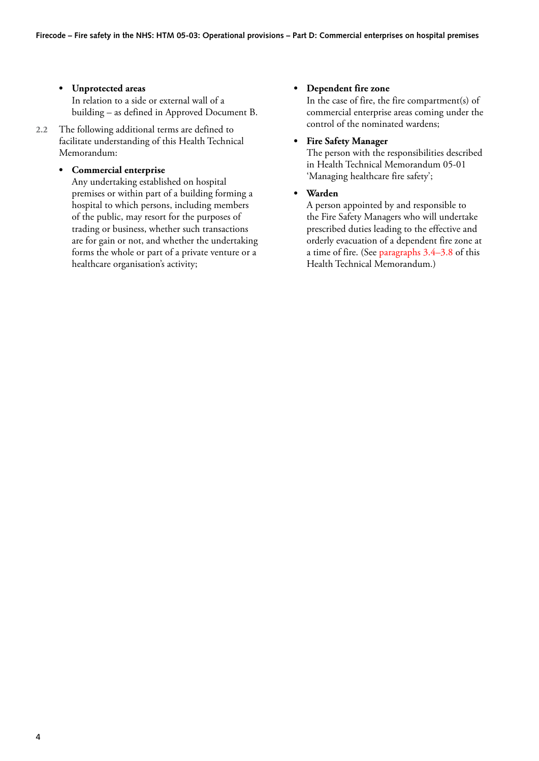- **Unprotected areas •** In relation to a side or external wall of a building – as defined in Approved Document B.
- **2.2** The following additional terms are defined to facilitate understanding of this Health Technical Memorandum:

#### **Commercial enterprise •**

Any undertaking established on hospital premises or within part of a building forming a hospital to which persons, including members of the public, may resort for the purposes of trading or business, whether such transactions are for gain or not, and whether the undertaking forms the whole or part of a private venture or a healthcare organisation's activity;

### **Dependent fire zone •**

In the case of fire, the fire compartment(s) of commercial enterprise areas coming under the control of the nominated wardens;

#### **Fire Safety Manager •**

The person with the responsibilities described in Health Technical Memorandum 05-01 'Managing healthcare fire safety';

**Warden •**

> A person appointed by and responsible to the Fire Safety Managers who will undertake prescribed duties leading to the effective and orderly evacuation of a dependent fire zone at a time of fire. (Se[e paragraphs 3.4–3.8 o](#page-11-0)f this Health Technical Memorandum.)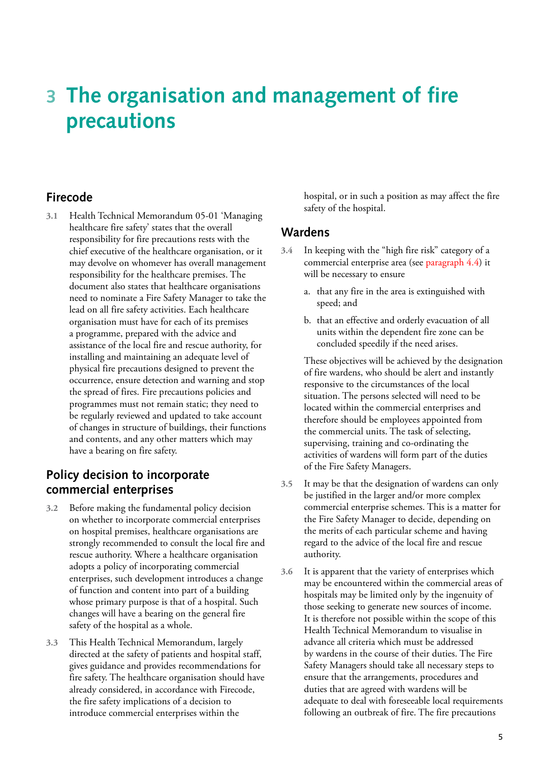# <span id="page-11-0"></span>**3 The organisation and management of fire precautions**

## **Firecode**

**3.1** Health Technical Memorandum 05-01 'Managing healthcare fire safety' states that the overall responsibility for fire precautions rests with the chief executive of the healthcare organisation, or it may devolve on whomever has overall management responsibility for the healthcare premises. The document also states that healthcare organisations need to nominate a Fire Safety Manager to take the lead on all fire safety activities. Each healthcare organisation must have for each of its premises a programme, prepared with the advice and assistance of the local fire and rescue authority, for installing and maintaining an adequate level of physical fire precautions designed to prevent the occurrence, ensure detection and warning and stop the spread of fires. Fire precautions policies and programmes must not remain static; they need to be regularly reviewed and updated to take account of changes in structure of buildings, their functions and contents, and any other matters which may have a bearing on fire safety.

## **Policy decision to incorporate commercial enterprises**

- **3.2** Before making the fundamental policy decision on whether to incorporate commercial enterprises on hospital premises, healthcare organisations are strongly recommended to consult the local fire and rescue authority. Where a healthcare organisation adopts a policy of incorporating commercial enterprises, such development introduces a change of function and content into part of a building whose primary purpose is that of a hospital. Such changes will have a bearing on the general fire safety of the hospital as a whole.
- **3.3** This Health Technical Memorandum, largely directed at the safety of patients and hospital staff, gives guidance and provides recommendations for fire safety. The healthcare organisation should have already considered, in accordance with Firecode, the fire safety implications of a decision to introduce commercial enterprises within the

hospital, or in such a position as may affect the fire safety of the hospital.

### **Wardens**

- **3.4** In keeping with the "high fire risk" category of a commercial enterprise area (se[e paragraph 4.4\) i](#page-14-0)t will be necessary to ensure
	- a. that any fire in the area is extinguished with speed; and
	- b. that an effective and orderly evacuation of all units within the dependent fire zone can be concluded speedily if the need arises.

 These objectives will be achieved by the designation of fire wardens, who should be alert and instantly responsive to the circumstances of the local situation. The persons selected will need to be located within the commercial enterprises and therefore should be employees appointed from the commercial units. The task of selecting, supervising, training and co-ordinating the activities of wardens will form part of the duties of the Fire Safety Managers.

- **3.5** It may be that the designation of wardens can only be justified in the larger and/or more complex commercial enterprise schemes. This is a matter for the Fire Safety Manager to decide, depending on the merits of each particular scheme and having regard to the advice of the local fire and rescue authority.
- **3.6** It is apparent that the variety of enterprises which may be encountered within the commercial areas of hospitals may be limited only by the ingenuity of those seeking to generate new sources of income. It is therefore not possible within the scope of this Health Technical Memorandum to visualise in advance all criteria which must be addressed by wardens in the course of their duties. The Fire Safety Managers should take all necessary steps to ensure that the arrangements, procedures and duties that are agreed with wardens will be adequate to deal with foreseeable local requirements following an outbreak of fire. The fire precautions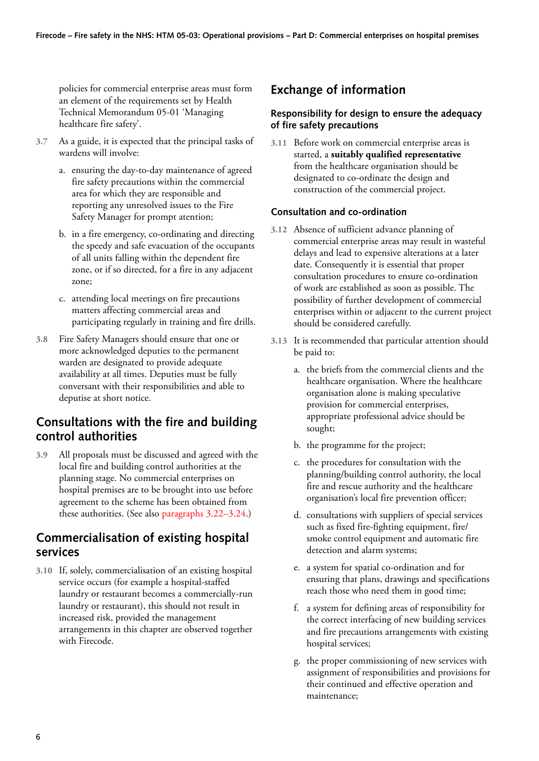<span id="page-12-0"></span>policies for commercial enterprise areas must form an element of the requirements set by Health Technical Memorandum 05-01 'Managing healthcare fire safety'.

- **3.7** As a guide, it is expected that the principal tasks of wardens will involve:
	- a. ensuring the day-to-day maintenance of agreed fire safety precautions within the commercial area for which they are responsible and reporting any unresolved issues to the Fire Safety Manager for prompt atention;
	- b. in a fire emergency, co-ordinating and directing the speedy and safe evacuation of the occupants of all units falling within the dependent fire zone, or if so directed, for a fire in any adjacent zone;
	- c. attending local meetings on fire precautions matters affecting commercial areas and participating regularly in training and fire drills.
- **3.8** Fire Safety Managers should ensure that one or more acknowledged deputies to the permanent warden are designated to provide adequate availability at all times. Deputies must be fully conversant with their responsibilities and able to deputise at short notice.

## **Consultations with the fire and building control authorities**

**3.9** All proposals must be discussed and agreed with the local fire and building control authorities at the planning stage. No commercial enterprises on hospital premises are to be brought into use before agreement to the scheme has been obtained from these authorities. (See als[o paragraphs 3.22–3.24.\)](#page-13-0)

## **Commercialisation of existing hospital services**

**3.10** If, solely, commercialisation of an existing hospital service occurs (for example a hospital-staffed laundry or restaurant becomes a commercially-run laundry or restaurant), this should not result in increased risk, provided the management arrangements in this chapter are observed together with Firecode.

## **Exchange of information**

#### **Responsibility for design to ensure the adequacy of fire safety precautions**

**3.11** Before work on commercial enterprise areas is started, a **suitably qualified representative**  from the healthcare organisation should be designated to co-ordinate the design and construction of the commercial project.

#### **Consultation and co-ordination**

- **3.12** Absence of sufficient advance planning of commercial enterprise areas may result in wasteful delays and lead to expensive alterations at a later date. Consequently it is essential that proper consultation procedures to ensure co-ordination of work are established as soon as possible. The possibility of further development of commercial enterprises within or adjacent to the current project should be considered carefully.
- **3.13** It is recommended that particular attention should be paid to:
	- a. the briefs from the commercial clients and the healthcare organisation. Where the healthcare organisation alone is making speculative provision for commercial enterprises, appropriate professional advice should be sought;
	- b. the programme for the project;
	- c. the procedures for consultation with the planning/building control authority, the local fire and rescue authority and the healthcare organisation's local fire prevention officer;
	- d. consultations with suppliers of special services such as fixed fire-fighting equipment, fire/ smoke control equipment and automatic fire detection and alarm systems;
	- e. a system for spatial co-ordination and for ensuring that plans, drawings and specifications reach those who need them in good time;
	- f. a system for defining areas of responsibility for the correct interfacing of new building services and fire precautions arrangements with existing hospital services;
	- g. the proper commissioning of new services with assignment of responsibilities and provisions for their continued and effective operation and maintenance;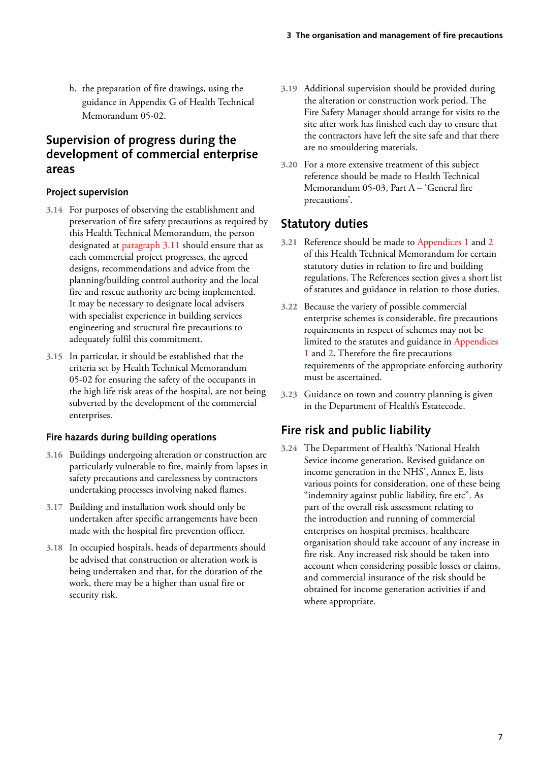<span id="page-13-0"></span>h. the preparation of fire drawings, using the guidance in Appendix G of Health Technical Memorandum 05-02.

## **Supervision of progress during the development of commercial enterprise areas**

#### **Project supervision**

- **3.14** For purposes of observing the establishment and preservation of fire safety precautions as required by this Health Technical Memorandum, the person designated a[t paragraph 3.11](#page-12-0) should ensure that as each commercial project progresses, the agreed designs, recommendations and advice from the planning/building control authority and the local fire and rescue authority are being implemented. It may be necessary to designate local advisers with specialist experience in building services engineering and structural fire precautions to adequately fulfil this commitment.
- **3.15** In particular, it should be established that the criteria set by Health Technical Memorandum 05-02 for ensuring the safety of the occupants in the high life risk areas of the hospital, are not being subverted by the development of the commercial enterprises.

### **Fire hazards during building operations**

- **3.16** Buildings undergoing alteration or construction are particularly vulnerable to fire, mainly from lapses in safety precautions and carelessness by contractors undertaking processes involving naked flames.
- **3.17** Building and installation work should only be undertaken after specific arrangements have been made with the hospital fire prevention officer.
- **3.18** In occupied hospitals, heads of departments should be advised that construction or alteration work is being undertaken and that, for the duration of the work, there may be a higher than usual fire or security risk.
- **3.19** Additional supervision should be provided during the alteration or construction work period. The Fire Safety Manager should arrange for visits to the site after work has finished each day to ensure that the contractors have left the site safe and that there are no smouldering materials.
- **3.20** For a more extensive treatment of this subject reference should be made to Health Technical Memorandum 05-03, Part A – 'General fire precautions'.

## **Statutory duties**

- **3.21** Reference should be made t[o Appendices 1](#page-22-0) an[d 2](#page-24-0)  of this Health Technical Memorandum for certain statutory duties in relation to fire and building regulations. The References section gives a short list of statutes and guidance in relation to those duties.
- **3.22** Because the variety of possible commercial enterprise schemes is considerable, fire precautions requirements in respect of schemes may not be limited to the statutes and guidance in [Appendices](#page-22-0)  [1](#page-22-0) and [2.](#page-24-0) Therefore the fire precautions requirements of the appropriate enforcing authority must be ascertained.
- **3.23** Guidance on town and country planning is given in the Department of Health's Estatecode.

## **Fire risk and public liability**

**3.24** The Department of Health's 'National Health Sevice income generation. Revised guidance on income generation in the NHS', Annex E, lists various points for consideration, one of these being "indemnity against public liability, fire etc". As part of the overall risk assessment relating to the introduction and running of commercial enterprises on hospital premises, healthcare organisation should take account of any increase in fire risk. Any increased risk should be taken into account when considering possible losses or claims, and commercial insurance of the risk should be obtained for income generation activities if and where appropriate.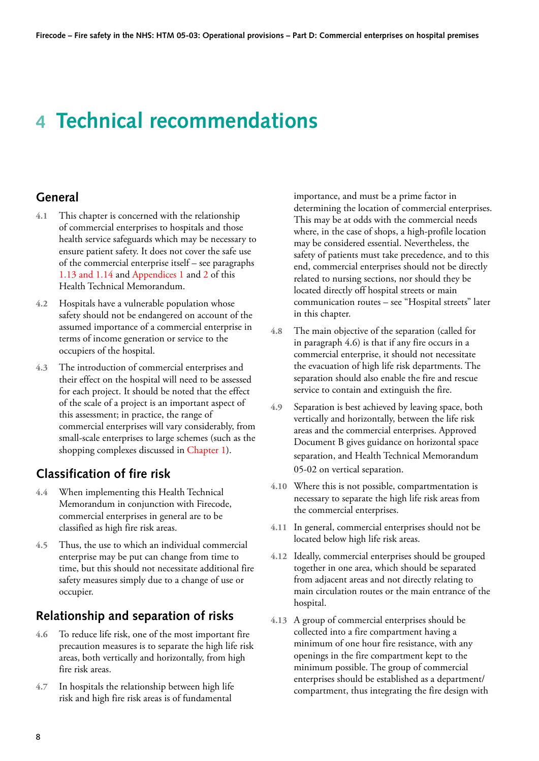# <span id="page-14-0"></span>**4 Technical recommendations**

## **General**

- **4.1** This chapter is concerned with the relationship of commercial enterprises to hospitals and those health service safeguards which may be necessary to ensure patient safety. It does not cover the safe use of the commercial enterprise itself – see paragraphs [1.13 and 1.14 a](#page-8-0)nd [Appendices 1](#page-22-0) an[d 2 o](#page-24-0)f this Health Technical Memorandum.
- **4.2** Hospitals have a vulnerable population whose safety should not be endangered on account of the assumed importance of a commercial enterprise in terms of income generation or service to the occupiers of the hospital.
- **4.3** The introduction of commercial enterprises and their effect on the hospital will need to be assessed for each project. It should be noted that the effect of the scale of a project is an important aspect of this assessment; in practice, the range of commercial enterprises will vary considerably, from small-scale enterprises to large schemes (such as the shopping complexes discussed i[n Chapter 1\).](#page-7-0)

## **Classification of fire risk**

- **4.4** When implementing this Health Technical Memorandum in conjunction with Firecode, commercial enterprises in general are to be classified as high fire risk areas.
- **4.5** Thus, the use to which an individual commercial enterprise may be put can change from time to time, but this should not necessitate additional fire safety measures simply due to a change of use or occupier.

## **Relationship and separation of risks**

- **4.6** To reduce life risk, one of the most important fire precaution measures is to separate the high life risk areas, both vertically and horizontally, from high fire risk areas.
- **4.7** In hospitals the relationship between high life risk and high fire risk areas is of fundamental

importance, and must be a prime factor in determining the location of commercial enterprises. This may be at odds with the commercial needs where, in the case of shops, a high-profile location may be considered essential. Nevertheless, the safety of patients must take precedence, and to this end, commercial enterprises should not be directly related to nursing sections, nor should they be located directly off hospital streets or main communication routes – see "Hospital streets" later in this chapter.

- **4.8** The main objective of the separation (called for in paragraph 4.6) is that if any fire occurs in a commercial enterprise, it should not necessitate the evacuation of high life risk departments. The separation should also enable the fire and rescue service to contain and extinguish the fire.
- **4.9** Separation is best achieved by leaving space, both vertically and horizontally, between the life risk areas and the commercial enterprises. Approved Document B gives guidance on horizontal space separation, and Health Technical Memorandum 05-02 on vertical separation.
- **4.10** Where this is not possible, compartmentation is necessary to separate the high life risk areas from the commercial enterprises.
- **4.11** In general, commercial enterprises should not be located below high life risk areas.
- **4.12** Ideally, commercial enterprises should be grouped together in one area, which should be separated from adjacent areas and not directly relating to main circulation routes or the main entrance of the hospital.
- **4.13** A group of commercial enterprises should be collected into a fire compartment having a minimum of one hour fire resistance, with any openings in the fire compartment kept to the minimum possible. The group of commercial enterprises should be established as a department/ compartment, thus integrating the fire design with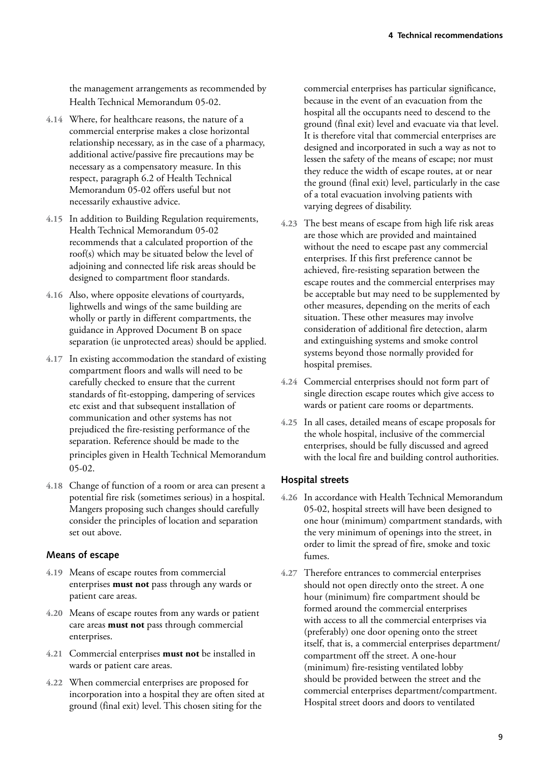<span id="page-15-0"></span>the management arrangements as recommended by Health Technical Memorandum 05-02.

- **4.14**  Where, for healthcare reasons, the nature of a commercial enterprise makes a close horizontal relationship necessary, as in the case of a pharmacy, additional active/passive fire precautions may be necessary as a compensatory measure. In this respect, paragraph 6.2 of Health Technical Memorandum 05-02 offers useful but not necessarily exhaustive advice.
- **4.15**  In addition to Building Regulation requirements, Health Technical Memorandum 05-02 recommends that a calculated proportion of the roof(s) which may be situated below the level of adjoining and connected life risk areas should be designed to compartment floor standards.
- **4.16**  Also, where opposite elevations of courtyards, lightwells and wings of the same building are wholly or partly in different compartments, the guidance in Approved Document B on space separation (ie unprotected areas) should be applied.
- **4.17**  In existing accommodation the standard of existing compartment floors and walls will need to be carefully checked to ensure that the current standards of fit-estopping, dampering of services etc exist and that subsequent installation of communication and other systems has not prejudiced the fire-resisting performance of the separation. Reference should be made to the principles given in Health Technical Memorandum 05-02.
- **4.18**  Change of function of a room or area can present a potential fire risk (sometimes serious) in a hospital. Mangers proposing such changes should carefully consider the principles of location and separation set out above.

### **Means of escape**

- **4.19**  Means of escape routes from commercial enterprises **must not** pass through any wards or patient care areas.
- **4.20**  Means of escape routes from any wards or patient care areas **must not** pass through commercial enterprises.
- **4.21**  Commercial enterprises **must not** be installed in wards or patient care areas.
- **4.22**  When commercial enterprises are proposed for incorporation into a hospital they are often sited at ground (final exit) level. This chosen siting for the

commercial enterprises has particular significance, because in the event of an evacuation from the hospital all the occupants need to descend to the ground (final exit) level and evacuate via that level. It is therefore vital that commercial enterprises are designed and incorporated in such a way as not to lessen the safety of the means of escape; nor must they reduce the width of escape routes, at or near the ground (final exit) level, particularly in the case of a total evacuation involving patients with varying degrees of disability.

- **4.23**  The best means of escape from high life risk areas are those which are provided and maintained without the need to escape past any commercial enterprises. If this first preference cannot be achieved, fire-resisting separation between the escape routes and the commercial enterprises may be acceptable but may need to be supplemented by other measures, depending on the merits of each situation. These other measures may involve consideration of additional fire detection, alarm and extinguishing systems and smoke control systems beyond those normally provided for hospital premises.
- **4.24**  Commercial enterprises should not form part of single direction escape routes which give access to wards or patient care rooms or departments.
- **4.25**  In all cases, detailed means of escape proposals for the whole hospital, inclusive of the commercial enterprises, should be fully discussed and agreed with the local fire and building control authorities.

### **Hospital streets**

- **4.26**  In accordance with Health Technical Memorandum 05-02, hospital streets will have been designed to one hour (minimum) compartment standards, with the very minimum of openings into the street, in order to limit the spread of fire, smoke and toxic fumes.
- **4.27**  Therefore entrances to commercial enterprises should not open directly onto the street. A one hour (minimum) fire compartment should be formed around the commercial enterprises with access to all the commercial enterprises via (preferably) one door opening onto the street itself, that is, a commercial enterprises department/ compartment off the street. A one-hour (minimum) fire-resisting ventilated lobby should be provided between the street and the commercial enterprises department/compartment. Hospital street doors and doors to ventilated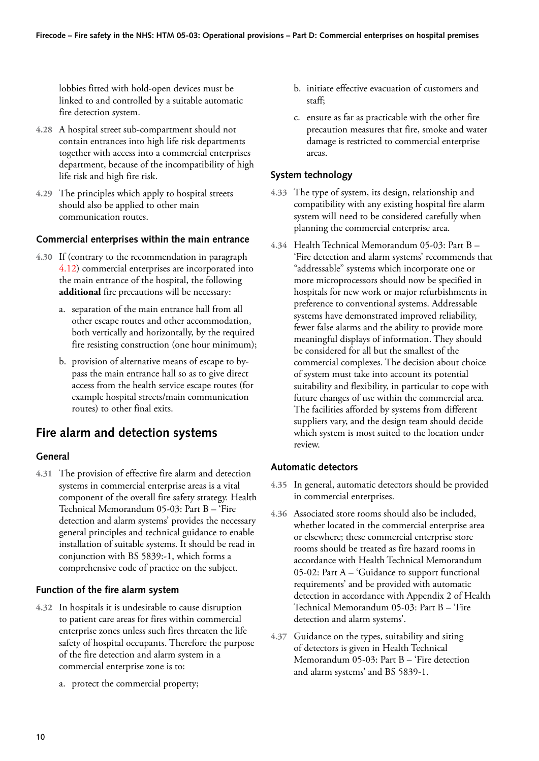<span id="page-16-0"></span>lobbies fitted with hold-open devices must be linked to and controlled by a suitable automatic fire detection system.

- **4.28**  A hospital street sub-compartment should not contain entrances into high life risk departments together with access into a commercial enterprises department, because of the incompatibility of high life risk and high fire risk.
- **4.29**  The principles which apply to hospital streets should also be applied to other main communication routes.

#### **Commercial enterprises within the main entrance**

- **4.30**  If (contrary to the recommendation in paragraph [4.12\)](#page-14-0) commercial enterprises are incorporated into the main entrance of the hospital, the following **additional** fire precautions will be necessary:
	- a. separation of the main entrance hall from all other escape routes and other accommodation, both vertically and horizontally, by the required fire resisting construction (one hour minimum);
	- b. provision of alternative means of escape to bypass the main entrance hall so as to give direct access from the health service escape routes (for example hospital streets/main communication routes) to other final exits.

### **Fire alarm and detection systems**

#### **General**

**4.31**  The provision of effective fire alarm and detection systems in commercial enterprise areas is a vital component of the overall fire safety strategy. Health Technical Memorandum 05-03: Part B – 'Fire detection and alarm systems' provides the necessary general principles and technical guidance to enable installation of suitable systems. It should be read in conjunction with BS 5839:-1, which forms a comprehensive code of practice on the subject.

#### **Function of the fire alarm system**

- **4.32**  In hospitals it is undesirable to cause disruption to patient care areas for fires within commercial enterprise zones unless such fires threaten the life safety of hospital occupants. Therefore the purpose of the fire detection and alarm system in a commercial enterprise zone is to:
	- a. protect the commercial property;
- b. initiate effective evacuation of customers and staff;
- c. ensure as far as practicable with the other fire precaution measures that fire, smoke and water damage is restricted to commercial enterprise areas.

#### **System technology**

- **4.33**  The type of system, its design, relationship and compatibility with any existing hospital fire alarm system wilI need to be considered carefully when planning the commercial enterprise area.
- **4.34**  Health Technical Memorandum 05-03: Part B 'Fire detection and alarm systems' recommends that "addressable" systems which incorporate one or more microprocessors should now be specified in hospitals for new work or major refurbishments in preference to conventional systems. Addressable systems have demonstrated improved reliability, fewer false alarms and the ability to provide more meaningful displays of information. They should be considered for all but the smallest of the commercial complexes. The decision about choice of system must take into account its potential suitability and flexibility, in particular to cope with future changes of use within the commercial area. The facilities afforded by systems from different suppliers vary, and the design team should decide which system is most suited to the location under review.

#### **Automatic detectors**

- **4.35**  In general, automatic detectors should be provided in commercial enterprises.
- **4.36**  Associated store rooms should also be included, whether located in the commercial enterprise area or elsewhere; these commercial enterprise store rooms should be treated as fire hazard rooms in accordance with Health Technical Memorandum 05-02: Part A – 'Guidance to support functional requirements' and be provided with automatic detection in accordance with Appendix 2 of Health Technical Memorandum 05-03: Part B – 'Fire detection and alarm systems'.
- **4.37**  Guidance on the types, suitability and siting of detectors is given in Health Technical Memorandum 05-03: Part B – 'Fire detection and alarm systems' and BS 5839-1.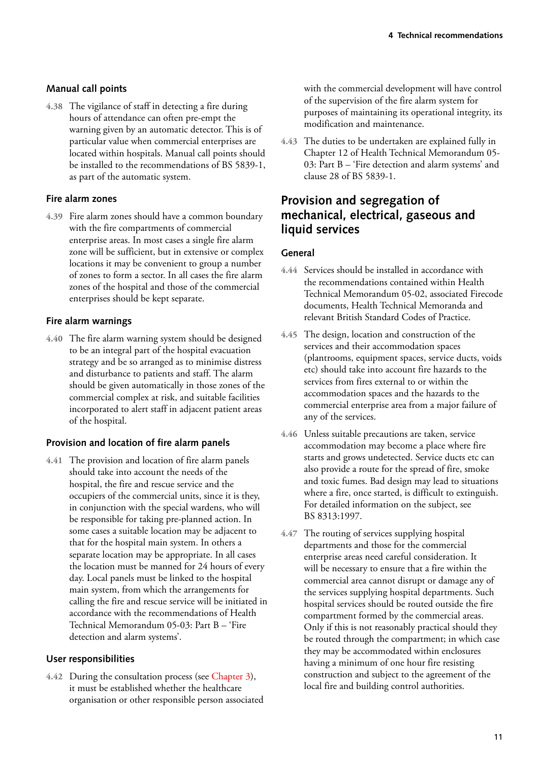### <span id="page-17-0"></span>**Manual call points**

**4.38** The vigilance of staff in detecting a fire during hours of attendance can often pre-empt the warning given by an automatic detector. This is of particular value when commercial enterprises are located within hospitals. Manual call points should be installed to the recommendations of BS 5839-1, as part of the automatic system.

### **Fire alarm zones**

**4.39** Fire alarm zones should have a common boundary with the fire compartments of commercial enterprise areas. In most cases a single fire alarm zone will be sufficient, but in extensive or complex locations it may be convenient to group a number of zones to form a sector. In all cases the fire alarm zones of the hospital and those of the commercial enterprises should be kept separate.

#### **Fire alarm warnings**

**4.40** The fire alarm warning system should be designed to be an integral part of the hospital evacuation strategy and be so arranged as to minimise distress and disturbance to patients and staff. The alarm should be given automatically in those zones of the commercial complex at risk, and suitable facilities incorporated to alert staff in adjacent patient areas of the hospital.

### **Provision and location of fire alarm panels**

**4.41** The provision and location of fire alarm panels should take into account the needs of the hospital, the fire and rescue service and the occupiers of the commercial units, since it is they, in conjunction with the special wardens, who will be responsible for taking pre-planned action. In some cases a suitable location may be adjacent to that for the hospital main system. In others a separate location may be appropriate. In all cases the location must be manned for 24 hours of every day. Local panels must be linked to the hospital main system, from which the arrangements for calling the fire and rescue service will be initiated in accordance with the recommendations of Health Technical Memorandum 05-03: Part B – 'Fire detection and alarm systems'.

#### **User responsibilities**

**4.42** During the consultation process (see [Chapter 3\),](#page-11-0) it must be established whether the healthcare organisation or other responsible person associated with the commercial development will have control of the supervision of the fire alarm system for purposes of maintaining its operational integrity, its modification and maintenance.

**4.43** The duties to be undertaken are explained fully in Chapter 12 of Health Technical Memorandum 05- 03: Part B – 'Fire detection and alarm systems' and clause 28 of BS 5839-1.

## **Provision and segregation of mechanical, electrical, gaseous and liquid services**

#### **General**

- **4.44** Services should be installed in accordance with the recommendations contained within Health Technical Memorandum 05-02, associated Firecode documents, Health Technical Memoranda and relevant British Standard Codes of Practice.
- **4.45** The design, location and construction of the services and their accommodation spaces (plantrooms, equipment spaces, service ducts, voids etc) should take into account fire hazards to the services from fires external to or within the accommodation spaces and the hazards to the commercial enterprise area from a major failure of any of the services.
- **4.46** Unless suitable precautions are taken, service accommodation may become a place where fire starts and grows undetected. Service ducts etc can also provide a route for the spread of fire, smoke and toxic fumes. Bad design may lead to situations where a fire, once started, is difficult to extinguish. For detailed information on the subject, see BS 8313:1997.
- **4.47** The routing of services supplying hospital departments and those for the commercial enterprise areas need careful consideration. It will be necessary to ensure that a fire within the commercial area cannot disrupt or damage any of the services supplying hospital departments. Such hospital services should be routed outside the fire compartment formed by the commercial areas. Only if this is not reasonably practical should they be routed through the compartment; in which case they may be accommodated within enclosures having a minimum of one hour fire resisting construction and subject to the agreement of the local fire and building control authorities.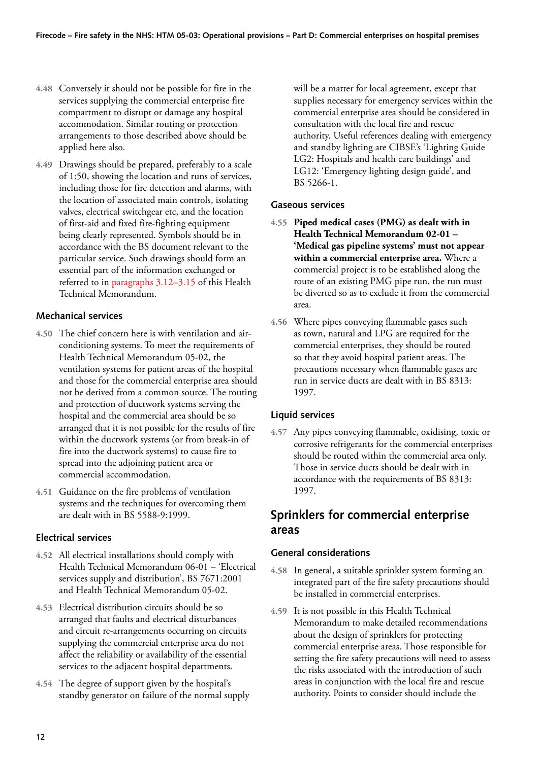- <span id="page-18-0"></span>**4.48** Conversely it should not be possible for fire in the services supplying the commercial enterprise fire compartment to disrupt or damage any hospital accommodation. Similar routing or protection arrangements to those described above should be applied here also.
- **4.49** Drawings should be prepared, preferably to a scale of 1:50, showing the location and runs of services, including those for fire detection and alarms, with the location of associated main controls, isolating valves, electrical switchgear etc, and the location of first-aid and fixed fire-fighting equipment being clearly represented. Symbols should be in accordance with the BS document relevant to the particular service. Such drawings should form an essential part of the information exchanged or referred to i[n paragraphs 3.12–3.15 o](#page-12-0)f this Health Technical Memorandum.

### **Mechanical services**

- **4.50** The chief concern here is with ventilation and airconditioning systems. To meet the requirements of Health Technical Memorandum 05-02, the ventilation systems for patient areas of the hospital and those for the commercial enterprise area should not be derived from a common source. The routing and protection of ductwork systems serving the hospital and the commercial area should be so arranged that it is not possible for the results of fire within the ductwork systems (or from break-in of fire into the ductwork systems) to cause fire to spread into the adjoining patient area or commercial accommodation.
- **4.51** Guidance on the fire problems of ventilation systems and the techniques for overcoming them are dealt with in BS 5588-9:1999.

#### **Electrical services**

- **4.52** All electrical installations should comply with Health Technical Memorandum 06-01 – 'Electrical services supply and distribution', BS 7671:2001 and Health Technical Memorandum 05-02.
- **4.53** Electrical distribution circuits should be so arranged that faults and electrical disturbances and circuit re-arrangements occurring on circuits supplying the commercial enterprise area do not affect the reliability or availability of the essential services to the adjacent hospital departments.
- **4.54** The degree of support given by the hospital's standby generator on failure of the normal supply

will be a matter for local agreement, except that supplies necessary for emergency services within the commercial enterprise area should be considered in consultation with the local fire and rescue authority. Useful references dealing with emergency and standby lighting are CIBSE's 'Lighting Guide LG2: Hospitals and health care buildings' and LG12: 'Emergency lighting design guide', and BS 5266-1.

#### **Gaseous services**

- **4.55 Piped medical cases (PMG) as dealt with in Health Technical Memorandum 02-01 – 'Medical gas pipeline systems' must not appear within a commercial enterprise area.** Where a commercial project is to be established along the route of an existing PMG pipe run, the run must be diverted so as to exclude it from the commercial area.
- **4.56** Where pipes conveying flammable gases such as town, natural and LPG are required for the commercial enterprises, they should be routed so that they avoid hospital patient areas. The precautions necessary when flammable gases are run in service ducts are dealt with in BS 8313: 1997.

#### **Liquid services**

**4.57** Any pipes conveying flammable, oxidising, toxic or corrosive refrigerants for the commercial enterprises should be routed within the commercial area only. Those in service ducts should be dealt with in accordance with the requirements of BS 8313: 1997.

## **Sprinklers for commercial enterprise areas**

#### **General considerations**

- **4.58** In general, a suitable sprinkler system forming an integrated part of the fire safety precautions should be installed in commercial enterprises.
- **4.59** It is not possible in this Health Technical Memorandum to make detailed recommendations about the design of sprinklers for protecting commercial enterprise areas. Those responsible for setting the fire safety precautions will need to assess the risks associated with the introduction of such areas in conjunction with the local fire and rescue authority. Points to consider should include the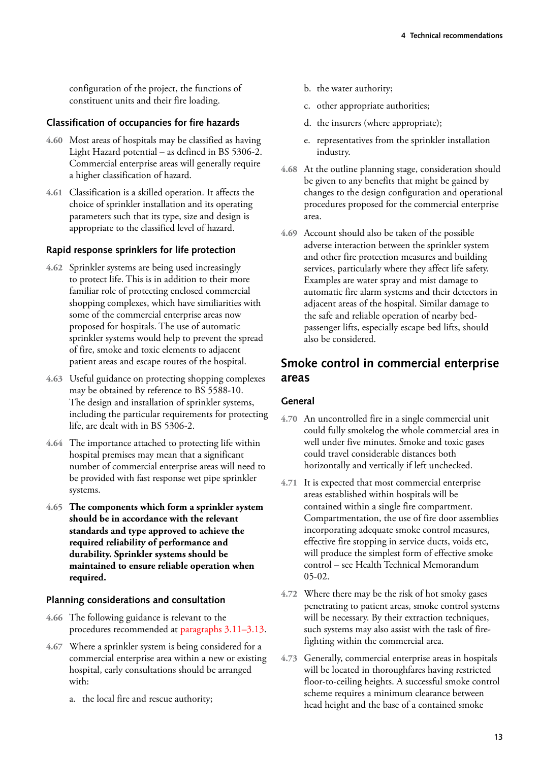<span id="page-19-0"></span>configuration of the project, the functions of constituent units and their fire loading.

#### **Classification of occupancies for fire hazards**

- **4.60** Most areas of hospitals may be classified as having Light Hazard potential – as defined in BS 5306-2. Commercial enterprise areas will generally require a higher classification of hazard.
- **4.61** Classification is a skilled operation. It affects the choice of sprinkler installation and its operating parameters such that its type, size and design is appropriate to the classified level of hazard.

#### **Rapid response sprinklers for life protection**

- **4.62** Sprinkler systems are being used increasingly to protect life. This is in addition to their more familiar role of protecting enclosed commercial shopping complexes, which have similiarities with some of the commercial enterprise areas now proposed for hospitals. The use of automatic sprinkler systems would help to prevent the spread of fire, smoke and toxic elements to adjacent patient areas and escape routes of the hospital.
- **4.63** Useful guidance on protecting shopping complexes may be obtained by reference to BS 5588-10. The design and installation of sprinkler systems, including the particular requirements for protecting life, are dealt with in BS 5306-2.
- **4.64** The importance attached to protecting life within hospital premises may mean that a significant number of commercial enterprise areas will need to be provided with fast response wet pipe sprinkler systems.
- **4.65 The components which form a sprinkler system should be in accordance with the relevant standards and type approved to achieve the required reliability of performance and durability. Sprinkler systems should be maintained to ensure reliable operation when required.**

#### **Planning considerations and consultation**

- **4.66** The following guidance is relevant to the procedures recommended a[t paragraphs 3.11–3.13.](#page-12-0)
- **4.67** Where a sprinkler system is being considered for a commercial enterprise area within a new or existing hospital, early consultations should be arranged with:
	- a. the local fire and rescue authority;
- b. the water authority;
- c. other appropriate authorities;
- d. the insurers (where appropriate);
- e. representatives from the sprinkler installation industry.
- **4.68** At the outline planning stage, consideration should be given to any benefits that might be gained by changes to the design configuration and operational procedures proposed for the commercial enterprise area.
- **4.69** Account should also be taken of the possible adverse interaction between the sprinkler system and other fire protection measures and building services, particularly where they affect life safety. Examples are water spray and mist damage to automatic fire alarm systems and their detectors in adjacent areas of the hospital. Similar damage to the safe and reliable operation of nearby bedpassenger lifts, especially escape bed lifts, should also be considered.

## **Smoke control in commercial enterprise areas**

#### **General**

- **4.70** An uncontrolled fire in a single commercial unit could fully smokelog the whole commercial area in well under five minutes. Smoke and toxic gases could travel considerable distances both horizontally and vertically if left unchecked.
- **4.71** It is expected that most commercial enterprise areas established within hospitals will be contained within a single fire compartment. Compartmentation, the use of fire door assemblies incorporating adequate smoke control measures, effective fire stopping in service ducts, voids etc, will produce the simplest form of effective smoke control – see Health Technical Memorandum 05-02.
- **4.72** Where there may be the risk of hot smoky gases penetrating to patient areas, smoke control systems will be necessary. By their extraction techniques, such systems may also assist with the task of firefighting within the commercial area.
- **4.73** Generally, commercial enterprise areas in hospitals will be located in thoroughfares having restricted floor-to-ceiling heights. A successful smoke control scheme requires a minimum clearance between head height and the base of a contained smoke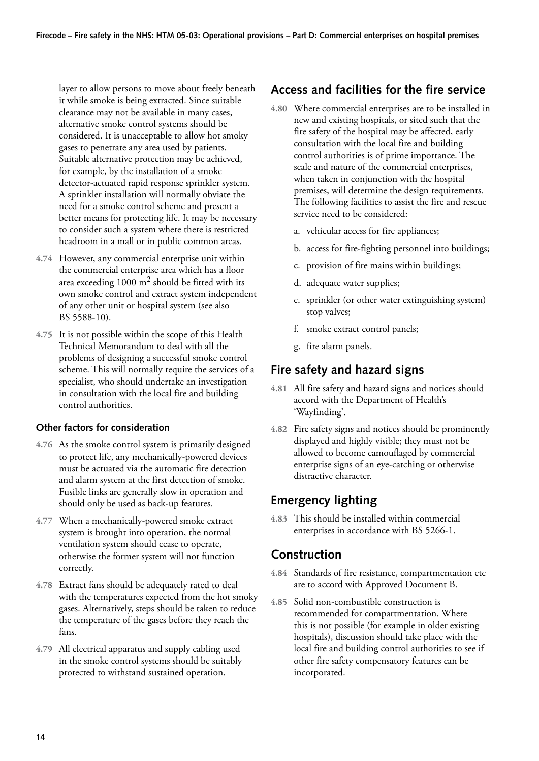<span id="page-20-0"></span>layer to allow persons to move about freely beneath it while smoke is being extracted. Since suitable clearance may not be available in many cases, alternative smoke control systems should be considered. It is unacceptable to allow hot smoky gases to penetrate any area used by patients. Suitable alternative protection may be achieved, for example, by the installation of a smoke detector-actuated rapid response sprinkler system. A sprinkler installation will normally obviate the need for a smoke control scheme and present a better means for protecting life. It may be necessary to consider such a system where there is restricted headroom in a mall or in public common areas.

- **4.74** However, any commercial enterprise unit within the commercial enterprise area which has a floor area exceeding  $1000 \text{ m}^2$  should be fitted with its own smoke control and extract system independent of any other unit or hospital system (see also BS 5588-10).
- **4.75** It is not possible within the scope of this Health Technical Memorandum to deal with all the problems of designing a successful smoke control scheme. This will normally require the services of a specialist, who should undertake an investigation in consultation with the local fire and building control authorities.

### **Other factors for consideration**

- **4.76** As the smoke control system is primarily designed to protect life, any mechanically-powered devices must be actuated via the automatic fire detection and alarm system at the first detection of smoke. Fusible links are generally slow in operation and should only be used as back-up features.
- **4.77** When a mechanically-powered smoke extract system is brought into operation, the normal ventilation system should cease to operate, otherwise the former system will not function correctly.
- **4.78** Extract fans should be adequately rated to deal with the temperatures expected from the hot smoky gases. Alternatively, steps should be taken to reduce the temperature of the gases before they reach the fans.
- **4.79** All electrical apparatus and supply cabling used in the smoke control systems should be suitably protected to withstand sustained operation.

## **Access and facilities for the fire service**

- **4.80** Where commercial enterprises are to be installed in new and existing hospitals, or sited such that the fire safety of the hospital may be affected, early consultation with the local fire and building control authorities is of prime importance. The scale and nature of the commercial enterprises, when taken in conjunction with the hospital premises, will determine the design requirements. The following facilities to assist the fire and rescue service need to be considered:
	- a. vehicular access for fire appliances;
	- b. access for fire-fighting personnel into buildings;
	- c. provision of fire mains within buildings;
	- d. adequate water supplies;
	- e. sprinkler (or other water extinguishing system) stop vaIves;
	- f. smoke extract control panels;
	- g. fire alarm panels.

## **Fire safety and hazard signs**

- **4.81** All fire safety and hazard signs and notices should accord with the Department of Health's 'Wayfinding'.
- **4.82** Fire safety signs and notices should be prominently displayed and highly visible; they must not be allowed to become camouflaged by commercial enterprise signs of an eye-catching or otherwise distractive character.

## **Emergency lighting**

**4.83** This should be installed within commercial enterprises in accordance with BS 5266-1.

## **Construction**

- **4.84** Standards of fire resistance, compartmentation etc are to accord with Approved Document B.
- **4.85** Solid non-combustible construction is recommended for compartmentation. Where this is not possible (for example in older existing hospitals), discussion should take place with the local fire and building control authorities to see if other fire safety compensatory features can be incorporated.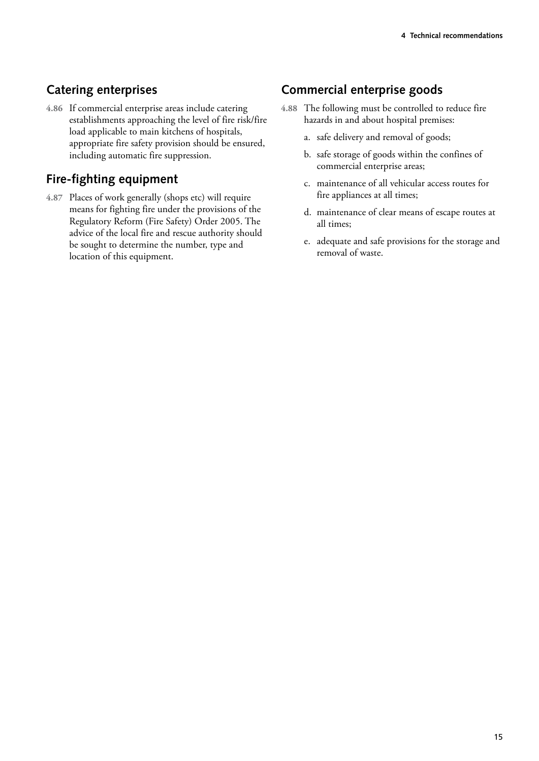## <span id="page-21-0"></span>**Catering enterprises**

**4.86** If commercial enterprise areas include catering establishments approaching the level of fire risk/fire load applicable to main kitchens of hospitals, appropriate fire safety provision should be ensured, including automatic fire suppression.

## **Fire-fighting equipment**

**4.87** Places of work generally (shops etc) will require means for fighting fire under the provisions of the Regulatory Reform (Fire Safety) Order 2005. The advice of the local fire and rescue authority should be sought to determine the number, type and location of this equipment.

## **Commercial enterprise goods**

- **4.88** The following must be controlled to reduce fire hazards in and about hospital premises:
	- a. safe delivery and removal of goods;
	- b. safe storage of goods within the confines of commercial enterprise areas;
	- c. maintenance of all vehicular access routes for fire appliances at all times;
	- d. maintenance of clear means of escape routes at all times;
	- e. adequate and safe provisions for the storage and removal of waste.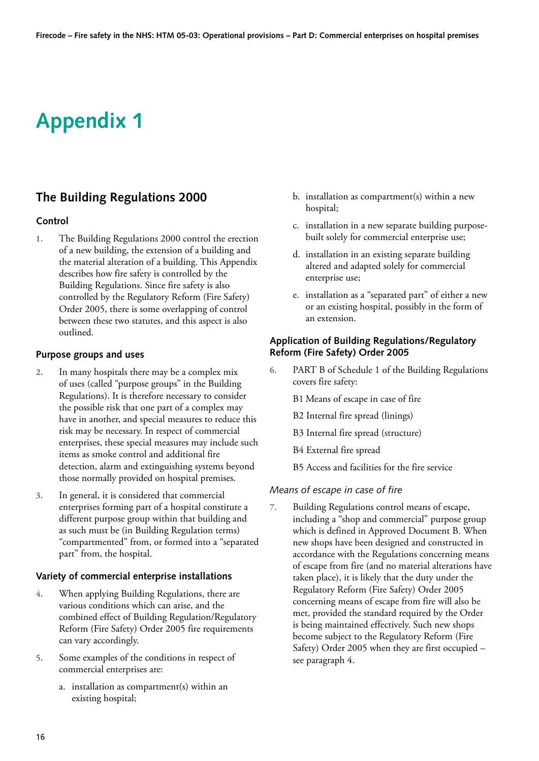# <span id="page-22-0"></span>**Appendix 1**

## **The Building Regulations 2000**

#### **Control**

**1.**  The Building Regulations 2000 control the erection of a new building, the extension of a building and the material alteration of a building. This Appendix describes how fire safety is controlled by the Building Regulations. Since fire safety is also controlled by the Regulatory Reform (Fire Safety) Order 2005, there is some overlapping of control between these two statutes, and this aspect is also outlined.

#### **Purpose groups and uses**

- **2.**  In many hospitals there may be a complex mix of uses (called "purpose groups" in the Building Regulations). It is therefore necessary to consider the possible risk that one part of a complex may have in another, and special measures to reduce this risk may be necessary. In respect of commercial enterprises, these special measures may include such items as smoke control and additional fire detection, alarm and extinguishing systems beyond those normally provided on hospital premises.
- **3.**  In general, it is considered that commercial enterprises forming part of a hospital constitute a different purpose group within that building and as such must be (in Building Regulation terms) "compartmented" from, or formed into a "separated part" from, the hospital.

### **Variety of commercial enterprise installations**

- **4.**  When applying Building Regulations, there are various conditions which can arise, and the combined effect of Building Regulation/Regulatory Reform (Fire Safety) Order 2005 fire requirements can vary accordingly.
- **5.**  Some examples of the conditions in respect of commercial enterprises are:
	- a. installation as compartment(s) within an existing hospital;
- b. installation as compartment(s) within a new hospital;
- c. installation in a new separate building purposebuilt solely for commercial enterprise use;
- d. installation in an existing separate building altered and adapted solely for commercial enterprise use;
- e. installation as a "separated part" of either a new or an existing hospital, possibly in the form of an extension.

#### **Application of Building Regulations/Regulatory Reform (Fire Safety) Order 2005**

- **6.**  PART B of Schedule 1 of the Building Regulations covers fire safety:
	- B1 Means of escape in case of fire
	- B2 Internal fire spread (linings)
	- B3 Internal fire spread (structure)
	- B4 External fire spread
	- B5 Access and facilities for the fire service

#### *Means of escape in case of fire*

**7.**  Building Regulations control means of escape, including a "shop and commercial" purpose group which is defined in Approved Document B. When new shops have been designed and constructed in accordance with the Regulations concerning means of escape from fire (and no material alterations have taken place), it is likely that the duty under the Regulatory Reform (Fire Safety) Order 2005 concerning means of escape from fire will also be met, provided the standard required by the Order is being maintained effectively. Such new shops become subject to the Regulatory Reform (Fire Safety) Order 2005 when they are first occupied – see paragraph 4.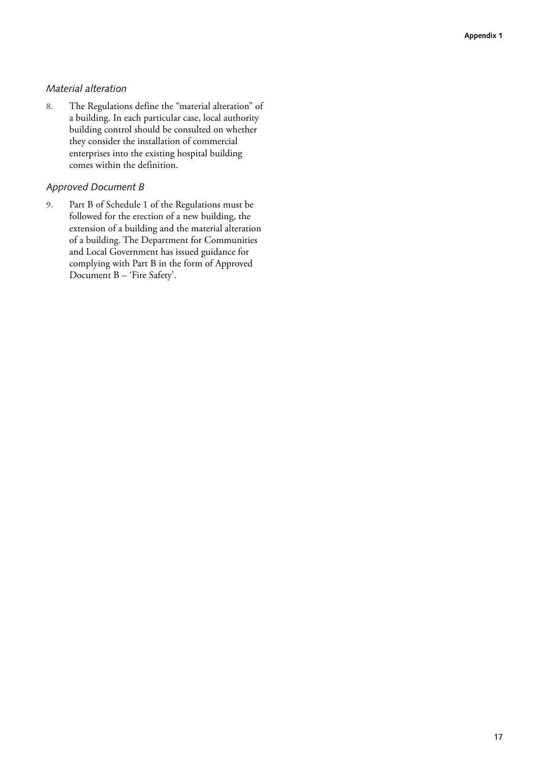### *Material alteration*

**8.** The Regulations define the "material alteration" of a building. In each particular case, local authority building control should be consulted on whether they consider the installation of commercial enterprises into the existing hospital building comes within the definition.

### *Approved Document B*

**9.** Part B of Schedule 1 of the Regulations must be followed for the erection of a new building, the extension of a building and the material alteration of a building. The Department for Communities and Local Government has issued guidance for complying with Part B in the form of Approved Document B – 'Fire Safety'.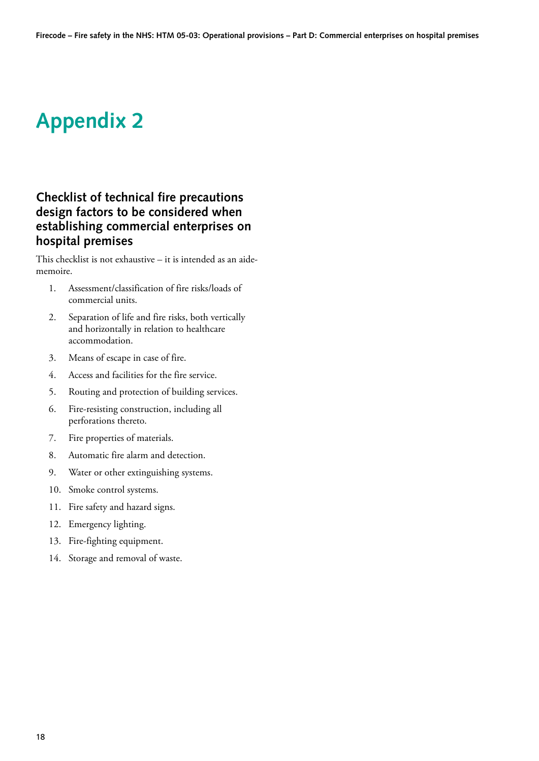# <span id="page-24-0"></span>**Appendix 2**

## **Checklist of technical fire precautions design factors to be considered when establishing commercial enterprises on hospital premises**

This checklist is not exhaustive – it is intended as an aidememoire.

- 1. Assessment/classification of fire risks/loads of commercial units.
- 2. Separation of life and fire risks, both vertically and horizontally in relation to healthcare accommodation.
- 3. Means of escape in case of fire.
- 4. Access and facilities for the fire service.
- 5. Routing and protection of building services.
- 6. Fire-resisting construction, including all perforations thereto.
- 7. Fire properties of materials.
- 8. Automatic fire alarm and detection.
- 9. Water or other extinguishing systems.
- 10. Smoke control systems.
- 11. Fire safety and hazard signs.
- 12. Emergency lighting.
- 13. Fire-fighting equipment.
- 14. Storage and removal of waste.